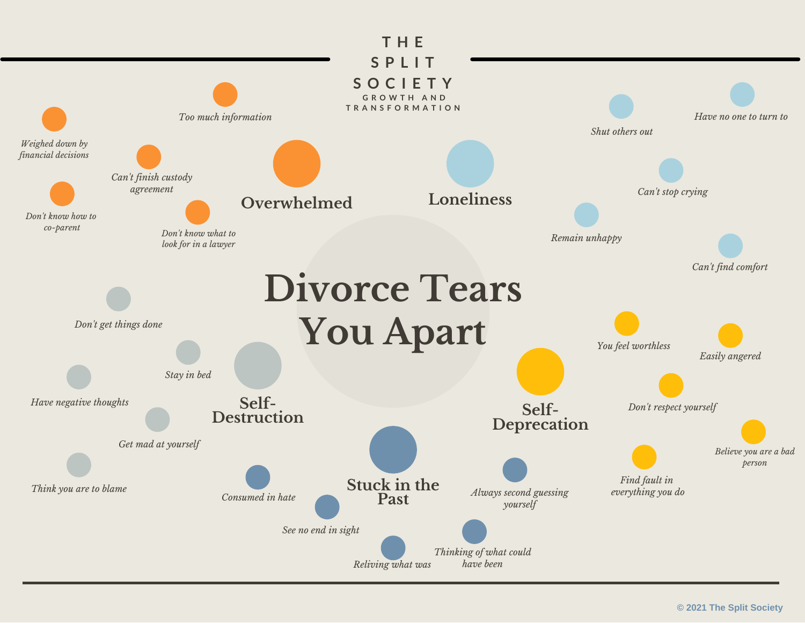